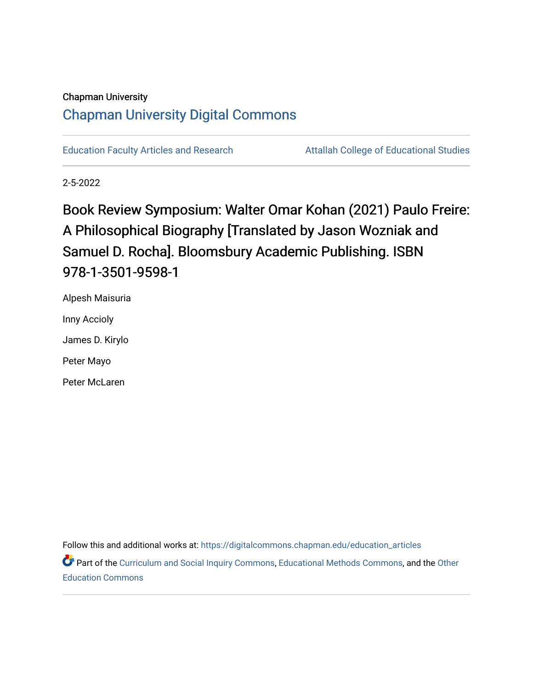#### Chapman University

# [Chapman University Digital Commons](https://digitalcommons.chapman.edu/)

[Education Faculty Articles and Research](https://digitalcommons.chapman.edu/education_articles) **Attallah College of Educational Studies** 

2-5-2022

Book Review Symposium: Walter Omar Kohan (2021) Paulo Freire: A Philosophical Biography [Translated by Jason Wozniak and Samuel D. Rocha]. Bloomsbury Academic Publishing. ISBN 978-1-3501-9598-1

Alpesh Maisuria Inny Accioly James D. Kirylo Peter Mayo Peter McLaren

Follow this and additional works at: [https://digitalcommons.chapman.edu/education\\_articles](https://digitalcommons.chapman.edu/education_articles?utm_source=digitalcommons.chapman.edu%2Feducation_articles%2F327&utm_medium=PDF&utm_campaign=PDFCoverPages)

Part of the [Curriculum and Social Inquiry Commons,](http://network.bepress.com/hgg/discipline/1038?utm_source=digitalcommons.chapman.edu%2Feducation_articles%2F327&utm_medium=PDF&utm_campaign=PDFCoverPages) [Educational Methods Commons,](http://network.bepress.com/hgg/discipline/1227?utm_source=digitalcommons.chapman.edu%2Feducation_articles%2F327&utm_medium=PDF&utm_campaign=PDFCoverPages) and the [Other](http://network.bepress.com/hgg/discipline/811?utm_source=digitalcommons.chapman.edu%2Feducation_articles%2F327&utm_medium=PDF&utm_campaign=PDFCoverPages) [Education Commons](http://network.bepress.com/hgg/discipline/811?utm_source=digitalcommons.chapman.edu%2Feducation_articles%2F327&utm_medium=PDF&utm_campaign=PDFCoverPages)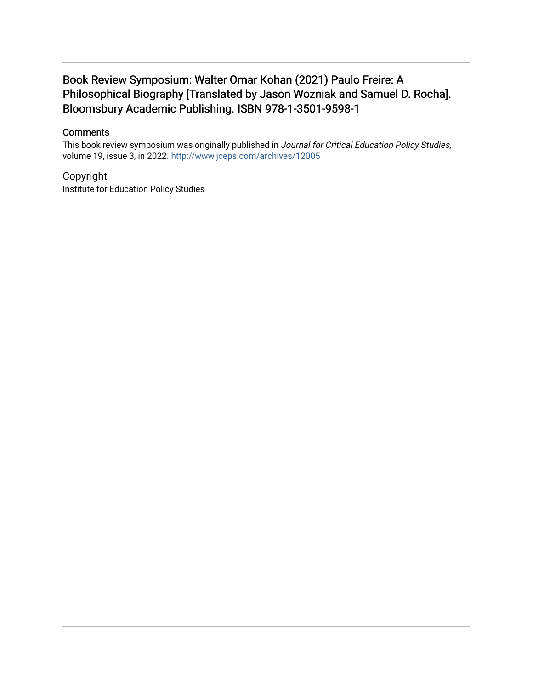# Book Review Symposium: Walter Omar Kohan (2021) Paulo Freire: A Philosophical Biography [Translated by Jason Wozniak and Samuel D. Rocha]. Bloomsbury Academic Publishing. ISBN 978-1-3501-9598-1

#### **Comments**

This book review symposium was originally published in Journal for Critical Education Policy Studies, volume 19, issue 3, in 2022. <http://www.jceps.com/archives/12005>

Copyright Institute for Education Policy Studies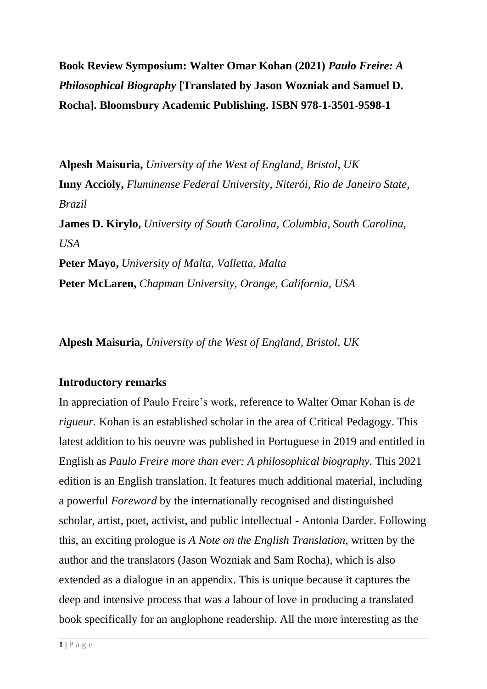**Book Review Symposium: Walter Omar Kohan (2021)** *Paulo Freire: A Philosophical Biography* **[Translated by Jason Wozniak and Samuel D. Rocha]. Bloomsbury Academic Publishing. ISBN 978-1-3501-9598-1**

**Alpesh Maisuria,** *University of the West of England, Bristol, UK* **Inny Accioly,** *Fluminense Federal University, Niterói, Rio de Janeiro State, Brazil* **James D. Kirylo,** *University of South Carolina, Columbia, South Carolina, USA* **Peter Mayo,** *University of Malta, Valletta, Malta* **Peter McLaren,** *Chapman University, Orange, California, USA*

**Alpesh Maisuria,** *University of the West of England, Bristol, UK*

# **Introductory remarks**

In appreciation of Paulo Freire's work, reference to Walter Omar Kohan is *de rigueur.* Kohan is an established scholar in the area of Critical Pedagogy. This latest addition to his oeuvre was published in Portuguese in 2019 and entitled in English as *Paulo Freire more than ever: A philosophical biography.* This 2021 edition is an English translation. It features much additional material, including a powerful *Foreword* by the internationally recognised and distinguished scholar, artist, poet, activist, and public intellectual - Antonia Darder. Following this, an exciting prologue is *A Note on the English Translation*, written by the author and the translators (Jason Wozniak and Sam Rocha), which is also extended as a dialogue in an appendix. This is unique because it captures the deep and intensive process that was a labour of love in producing a translated book specifically for an anglophone readership. All the more interesting as the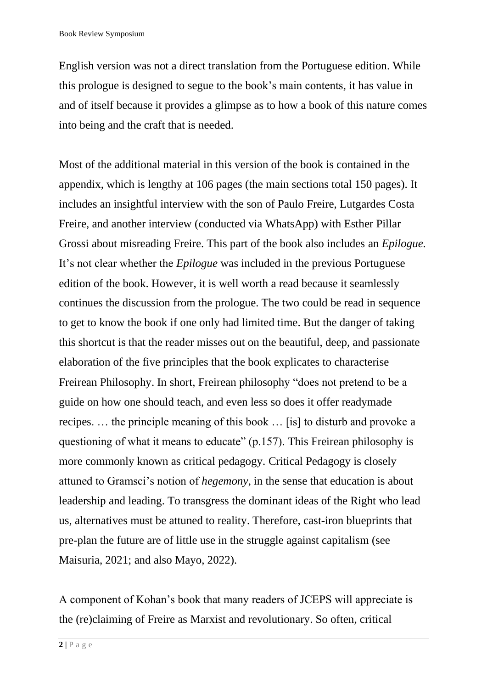English version was not a direct translation from the Portuguese edition. While this prologue is designed to segue to the book's main contents, it has value in and of itself because it provides a glimpse as to how a book of this nature comes into being and the craft that is needed.

Most of the additional material in this version of the book is contained in the appendix, which is lengthy at 106 pages (the main sections total 150 pages). It includes an insightful interview with the son of Paulo Freire, Lutgardes Costa Freire, and another interview (conducted via WhatsApp) with Esther Pillar Grossi about misreading Freire. This part of the book also includes an *Epilogue.*  It's not clear whether the *Epilogue* was included in the previous Portuguese edition of the book. However, it is well worth a read because it seamlessly continues the discussion from the prologue. The two could be read in sequence to get to know the book if one only had limited time. But the danger of taking this shortcut is that the reader misses out on the beautiful, deep, and passionate elaboration of the five principles that the book explicates to characterise Freirean Philosophy. In short, Freirean philosophy "does not pretend to be a guide on how one should teach, and even less so does it offer readymade recipes. … the principle meaning of this book … [is] to disturb and provoke a questioning of what it means to educate" (p.157). This Freirean philosophy is more commonly known as critical pedagogy. Critical Pedagogy is closely attuned to Gramsci's notion of *hegemony*, in the sense that education is about leadership and leading. To transgress the dominant ideas of the Right who lead us, alternatives must be attuned to reality. Therefore, cast-iron blueprints that pre-plan the future are of little use in the struggle against capitalism (see Maisuria, 2021; and also Mayo, 2022).

A component of Kohan's book that many readers of JCEPS will appreciate is the (re)claiming of Freire as Marxist and revolutionary. So often, critical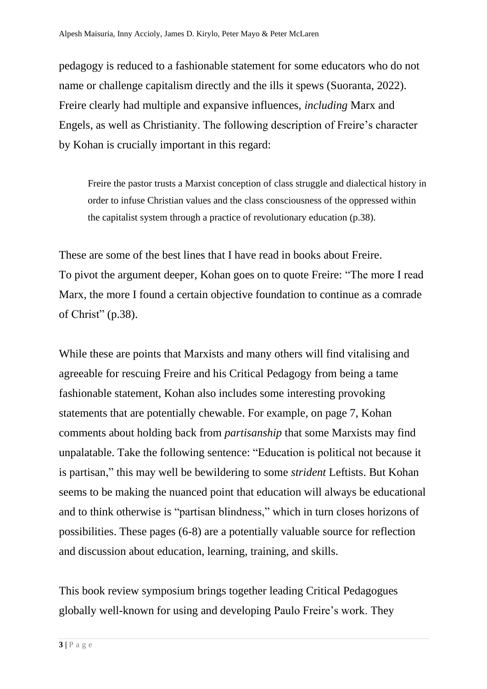pedagogy is reduced to a fashionable statement for some educators who do not name or challenge capitalism directly and the ills it spews (Suoranta, 2022). Freire clearly had multiple and expansive influences, *including* Marx and Engels, as well as Christianity. The following description of Freire's character by Kohan is crucially important in this regard:

Freire the pastor trusts a Marxist conception of class struggle and dialectical history in order to infuse Christian values and the class consciousness of the oppressed within the capitalist system through a practice of revolutionary education (p.38).

These are some of the best lines that I have read in books about Freire. To pivot the argument deeper, Kohan goes on to quote Freire: "The more I read Marx, the more I found a certain objective foundation to continue as a comrade of Christ" (p.38).

While these are points that Marxists and many others will find vitalising and agreeable for rescuing Freire and his Critical Pedagogy from being a tame fashionable statement, Kohan also includes some interesting provoking statements that are potentially chewable. For example, on page 7, Kohan comments about holding back from *partisanship* that some Marxists may find unpalatable. Take the following sentence: "Education is political not because it is partisan," this may well be bewildering to some *strident* Leftists. But Kohan seems to be making the nuanced point that education will always be educational and to think otherwise is "partisan blindness," which in turn closes horizons of possibilities. These pages (6-8) are a potentially valuable source for reflection and discussion about education, learning, training, and skills.

This book review symposium brings together leading Critical Pedagogues globally well-known for using and developing Paulo Freire's work. They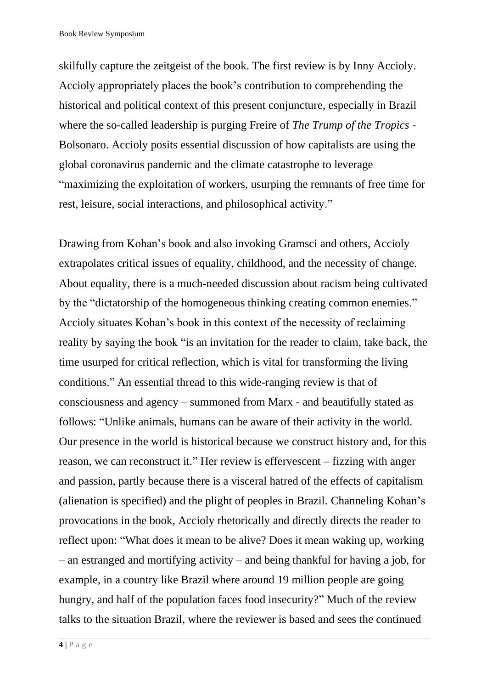skilfully capture the zeitgeist of the book. The first review is by Inny Accioly. Accioly appropriately places the book's contribution to comprehending the historical and political context of this present conjuncture, especially in Brazil where the so-called leadership is purging Freire of *The Trump of the Tropics* - Bolsonaro. Accioly posits essential discussion of how capitalists are using the global coronavirus pandemic and the climate catastrophe to leverage "maximizing the exploitation of workers, usurping the remnants of free time for rest, leisure, social interactions, and philosophical activity."

Drawing from Kohan's book and also invoking Gramsci and others, Accioly extrapolates critical issues of equality, childhood, and the necessity of change. About equality, there is a much-needed discussion about racism being cultivated by the "dictatorship of the homogeneous thinking creating common enemies." Accioly situates Kohan's book in this context of the necessity of reclaiming reality by saying the book "is an invitation for the reader to claim, take back, the time usurped for critical reflection, which is vital for transforming the living conditions." An essential thread to this wide-ranging review is that of consciousness and agency – summoned from Marx - and beautifully stated as follows: "Unlike animals, humans can be aware of their activity in the world. Our presence in the world is historical because we construct history and, for this reason, we can reconstruct it." Her review is effervescent – fizzing with anger and passion, partly because there is a visceral hatred of the effects of capitalism (alienation is specified) and the plight of peoples in Brazil. Channeling Kohan's provocations in the book, Accioly rhetorically and directly directs the reader to reflect upon: "What does it mean to be alive? Does it mean waking up, working – an estranged and mortifying activity – and being thankful for having a job, for example, in a country like Brazil where around 19 million people are going hungry, and half of the population faces food insecurity?" Much of the review talks to the situation Brazil, where the reviewer is based and sees the continued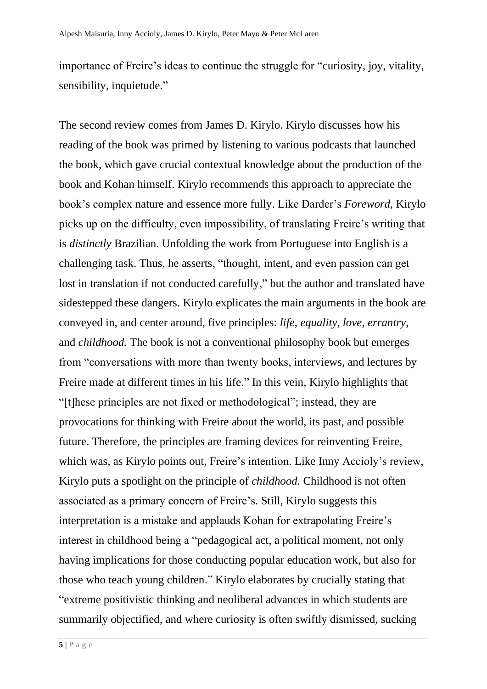importance of Freire's ideas to continue the struggle for "curiosity, joy, vitality, sensibility, inquietude."

The second review comes from James D. Kirylo. Kirylo discusses how his reading of the book was primed by listening to various podcasts that launched the book, which gave crucial contextual knowledge about the production of the book and Kohan himself. Kirylo recommends this approach to appreciate the book's complex nature and essence more fully. Like Darder's *Foreword*, Kirylo picks up on the difficulty, even impossibility, of translating Freire's writing that is *distinctly* Brazilian. Unfolding the work from Portuguese into English is a challenging task. Thus, he asserts, "thought, intent, and even passion can get lost in translation if not conducted carefully," but the author and translated have sidestepped these dangers. Kirylo explicates the main arguments in the book are conveyed in, and center around, five principles: *life*, *equality*, *love*, *errantry*, and *childhood.* The book is not a conventional philosophy book but emerges from "conversations with more than twenty books, interviews, and lectures by Freire made at different times in his life." In this vein, Kirylo highlights that "[t]hese principles are not fixed or methodological"; instead, they are provocations for thinking with Freire about the world, its past, and possible future. Therefore, the principles are framing devices for reinventing Freire, which was, as Kirylo points out, Freire's intention. Like Inny Accioly's review, Kirylo puts a spotlight on the principle of *childhood.* Childhood is not often associated as a primary concern of Freire's. Still, Kirylo suggests this interpretation is a mistake and applauds Kohan for extrapolating Freire's interest in childhood being a "pedagogical act, a political moment, not only having implications for those conducting popular education work, but also for those who teach young children." Kirylo elaborates by crucially stating that "extreme positivistic thinking and neoliberal advances in which students are summarily objectified, and where curiosity is often swiftly dismissed, sucking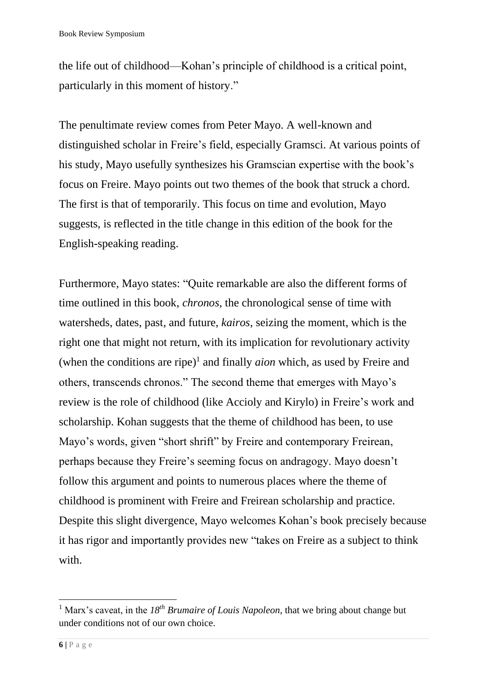the life out of childhood—Kohan's principle of childhood is a critical point, particularly in this moment of history."

The penultimate review comes from Peter Mayo. A well-known and distinguished scholar in Freire's field, especially Gramsci. At various points of his study, Mayo usefully synthesizes his Gramscian expertise with the book's focus on Freire. Mayo points out two themes of the book that struck a chord. The first is that of temporarily. This focus on time and evolution, Mayo suggests, is reflected in the title change in this edition of the book for the English-speaking reading.

Furthermore, Mayo states: "Quite remarkable are also the different forms of time outlined in this book, *chronos*, the chronological sense of time with watersheds, dates, past, and future, *kairos*, seizing the moment, which is the right one that might not return, with its implication for revolutionary activity (when the conditions are ripe)<sup>1</sup> and finally  $aion$  which, as used by Freire and others, transcends chronos." The second theme that emerges with Mayo's review is the role of childhood (like Accioly and Kirylo) in Freire's work and scholarship. Kohan suggests that the theme of childhood has been, to use Mayo's words, given "short shrift" by Freire and contemporary Freirean, perhaps because they Freire's seeming focus on andragogy. Mayo doesn't follow this argument and points to numerous places where the theme of childhood is prominent with Freire and Freirean scholarship and practice. Despite this slight divergence, Mayo welcomes Kohan's book precisely because it has rigor and importantly provides new "takes on Freire as a subject to think with.

<sup>1</sup> Marx's caveat, in the *18th Brumaire of Louis Napoleon*, that we bring about change but under conditions not of our own choice.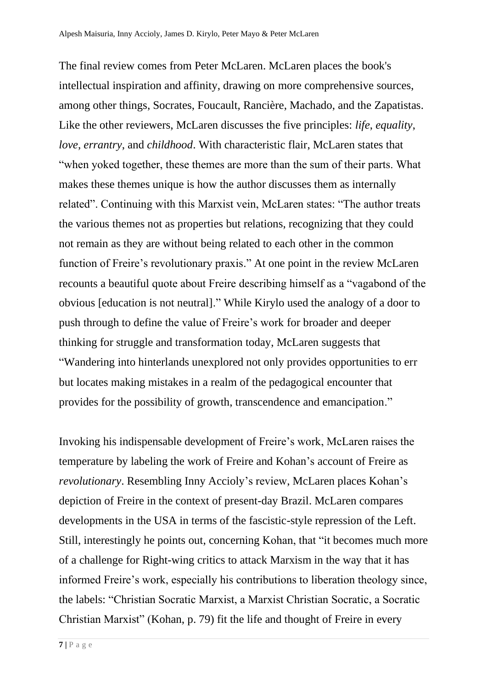The final review comes from Peter McLaren. McLaren places the book's intellectual inspiration and affinity, drawing on more comprehensive sources, among other things, Socrates, Foucault, Rancière, Machado, and the Zapatistas. Like the other reviewers, McLaren discusses the five principles: *life*, *equality*, *love*, *errantry*, and *childhood*. With characteristic flair, McLaren states that "when yoked together, these themes are more than the sum of their parts. What makes these themes unique is how the author discusses them as internally related". Continuing with this Marxist vein, McLaren states: "The author treats the various themes not as properties but relations, recognizing that they could not remain as they are without being related to each other in the common function of Freire's revolutionary praxis." At one point in the review McLaren recounts a beautiful quote about Freire describing himself as a "vagabond of the obvious [education is not neutral]." While Kirylo used the analogy of a door to push through to define the value of Freire's work for broader and deeper thinking for struggle and transformation today, McLaren suggests that "Wandering into hinterlands unexplored not only provides opportunities to err but locates making mistakes in a realm of the pedagogical encounter that provides for the possibility of growth, transcendence and emancipation."

Invoking his indispensable development of Freire's work, McLaren raises the temperature by labeling the work of Freire and Kohan's account of Freire as *revolutionary*. Resembling Inny Accioly's review, McLaren places Kohan's depiction of Freire in the context of present-day Brazil. McLaren compares developments in the USA in terms of the fascistic-style repression of the Left. Still, interestingly he points out, concerning Kohan, that "it becomes much more of a challenge for Right-wing critics to attack Marxism in the way that it has informed Freire's work, especially his contributions to liberation theology since, the labels: "Christian Socratic Marxist, a Marxist Christian Socratic, a Socratic Christian Marxist" (Kohan, p. 79) fit the life and thought of Freire in every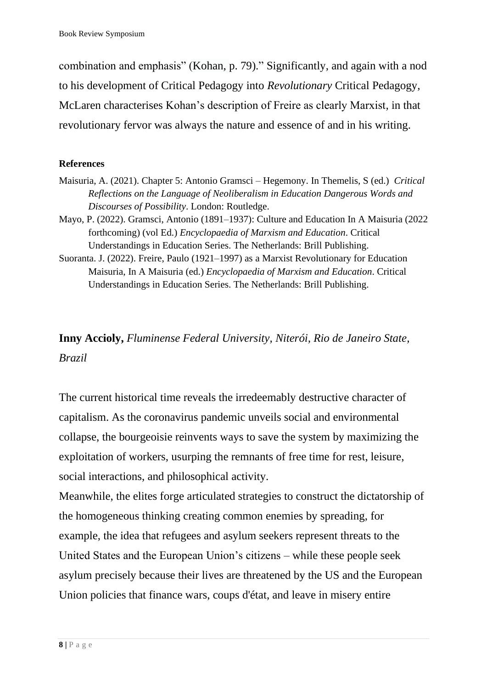combination and emphasis" (Kohan, p. 79)." Significantly, and again with a nod to his development of Critical Pedagogy into *Revolutionary* Critical Pedagogy, McLaren characterises Kohan's description of Freire as clearly Marxist, in that revolutionary fervor was always the nature and essence of and in his writing.

### **References**

- Maisuria, A. (2021). Chapter 5: Antonio Gramsci Hegemony. In Themelis, S (ed.) *Critical Reflections on the Language of Neoliberalism in Education Dangerous Words and Discourses of Possibility*. London: Routledge.
- Mayo, P. (2022). Gramsci, Antonio (1891–1937): Culture and Education In A Maisuria (2022 forthcoming) (vol Ed.) *Encyclopaedia of Marxism and Education*. Critical Understandings in Education Series. The Netherlands: Brill Publishing.
- Suoranta. J. (2022). Freire, Paulo (1921–1997) as a Marxist Revolutionary for Education Maisuria, In A Maisuria (ed.) *Encyclopaedia of Marxism and Education*. Critical Understandings in Education Series. The Netherlands: Brill Publishing.

# **Inny Accioly,** *Fluminense Federal University, Niterói, Rio de Janeiro State, Brazil*

The current historical time reveals the irredeemably destructive character of capitalism. As the coronavirus pandemic unveils social and environmental collapse, the bourgeoisie reinvents ways to save the system by maximizing the exploitation of workers, usurping the remnants of free time for rest, leisure, social interactions, and philosophical activity.

Meanwhile, the elites forge articulated strategies to construct the dictatorship of the homogeneous thinking creating common enemies by spreading, for example, the idea that refugees and asylum seekers represent threats to the United States and the European Union's citizens – while these people seek asylum precisely because their lives are threatened by the US and the European Union policies that finance wars, coups d'état, and leave in misery entire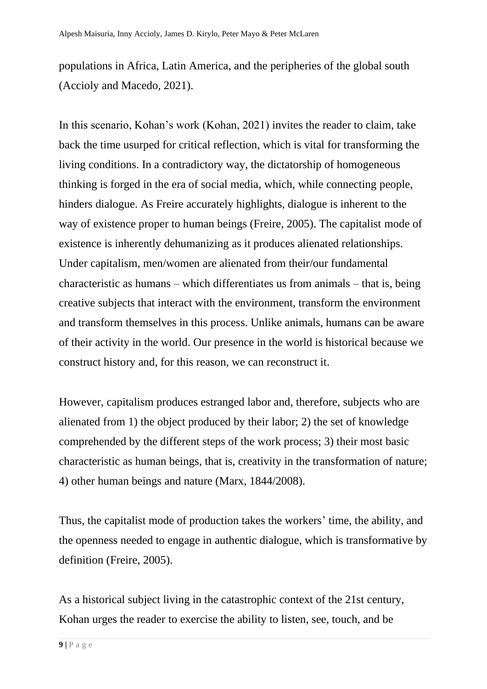populations in Africa, Latin America, and the peripheries of the global south (Accioly and Macedo, 2021).

In this scenario, Kohan's work (Kohan, 2021) invites the reader to claim, take back the time usurped for critical reflection, which is vital for transforming the living conditions. In a contradictory way, the dictatorship of homogeneous thinking is forged in the era of social media, which, while connecting people, hinders dialogue. As Freire accurately highlights, dialogue is inherent to the way of existence proper to human beings (Freire, 2005). The capitalist mode of existence is inherently dehumanizing as it produces alienated relationships. Under capitalism, men/women are alienated from their/our fundamental characteristic as humans – which differentiates us from animals – that is, being creative subjects that interact with the environment, transform the environment and transform themselves in this process. Unlike animals, humans can be aware of their activity in the world. Our presence in the world is historical because we construct history and, for this reason, we can reconstruct it.

However, capitalism produces estranged labor and, therefore, subjects who are alienated from 1) the object produced by their labor; 2) the set of knowledge comprehended by the different steps of the work process; 3) their most basic characteristic as human beings, that is, creativity in the transformation of nature; 4) other human beings and nature (Marx, 1844/2008).

Thus, the capitalist mode of production takes the workers' time, the ability, and the openness needed to engage in authentic dialogue, which is transformative by definition (Freire, 2005).

As a historical subject living in the catastrophic context of the 21st century, Kohan urges the reader to exercise the ability to listen, see, touch, and be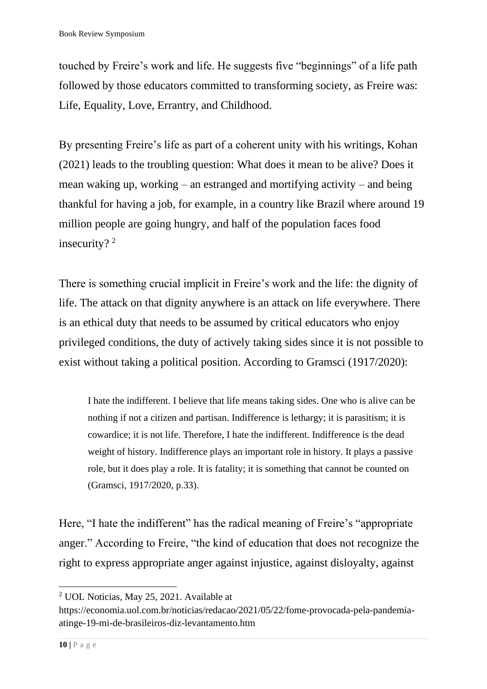touched by Freire's work and life. He suggests five "beginnings" of a life path followed by those educators committed to transforming society, as Freire was: Life, Equality, Love, Errantry, and Childhood.

By presenting Freire's life as part of a coherent unity with his writings, Kohan (2021) leads to the troubling question: What does it mean to be alive? Does it mean waking up, working – an estranged and mortifying activity – and being thankful for having a job, for example, in a country like Brazil where around 19 million people are going hungry, and half of the population faces food insecurity?<sup>2</sup>

There is something crucial implicit in Freire's work and the life: the dignity of life. The attack on that dignity anywhere is an attack on life everywhere. There is an ethical duty that needs to be assumed by critical educators who enjoy privileged conditions, the duty of actively taking sides since it is not possible to exist without taking a political position. According to Gramsci (1917/2020):

I hate the indifferent. I believe that life means taking sides. One who is alive can be nothing if not a citizen and partisan. Indifference is lethargy; it is parasitism; it is cowardice; it is not life. Therefore, I hate the indifferent. Indifference is the dead weight of history. Indifference plays an important role in history. It plays a passive role, but it does play a role. It is fatality; it is something that cannot be counted on (Gramsci, 1917/2020, p.33).

Here, "I hate the indifferent" has the radical meaning of Freire's "appropriate anger." According to Freire, "the kind of education that does not recognize the right to express appropriate anger against injustice, against disloyalty, against

<sup>2</sup> UOL Noticias, May 25, 2021. Available at

https://economia.uol.com.br/noticias/redacao/2021/05/22/fome-provocada-pela-pandemiaatinge-19-mi-de-brasileiros-diz-levantamento.htm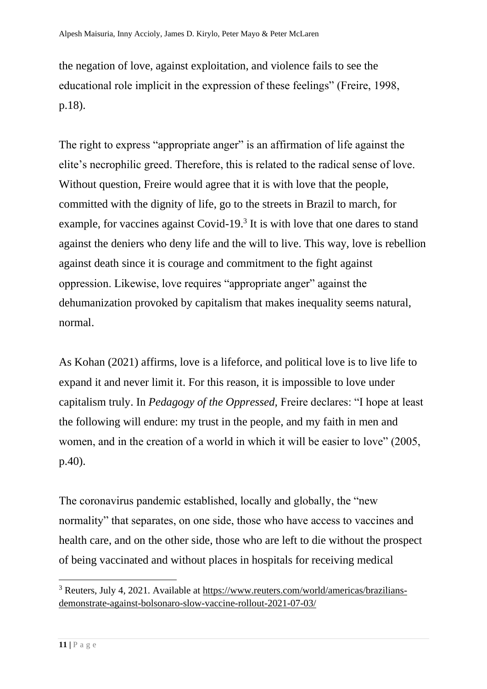the negation of love, against exploitation, and violence fails to see the educational role implicit in the expression of these feelings" (Freire, 1998, p.18).

The right to express "appropriate anger" is an affirmation of life against the elite's necrophilic greed. Therefore, this is related to the radical sense of love. Without question, Freire would agree that it is with love that the people, committed with the dignity of life, go to the streets in Brazil to march, for example, for vaccines against Covid-19.<sup>3</sup> It is with love that one dares to stand against the deniers who deny life and the will to live. This way, love is rebellion against death since it is courage and commitment to the fight against oppression. Likewise, love requires "appropriate anger" against the dehumanization provoked by capitalism that makes inequality seems natural, normal.

As Kohan (2021) affirms, love is a lifeforce, and political love is to live life to expand it and never limit it. For this reason, it is impossible to love under capitalism truly. In *Pedagogy of the Oppressed,* Freire declares: "I hope at least the following will endure: my trust in the people, and my faith in men and women, and in the creation of a world in which it will be easier to love" (2005, p.40).

The coronavirus pandemic established, locally and globally, the "new normality" that separates, on one side, those who have access to vaccines and health care, and on the other side, those who are left to die without the prospect of being vaccinated and without places in hospitals for receiving medical

<sup>3</sup> Reuters, July 4, 2021. Available at [https://www.reuters.com/world/americas/brazilians](https://www.reuters.com/world/americas/brazilians-demonstrate-against-bolsonaro-slow-vaccine-rollout-2021-07-03/)[demonstrate-against-bolsonaro-slow-vaccine-rollout-2021-07-03/](https://www.reuters.com/world/americas/brazilians-demonstrate-against-bolsonaro-slow-vaccine-rollout-2021-07-03/)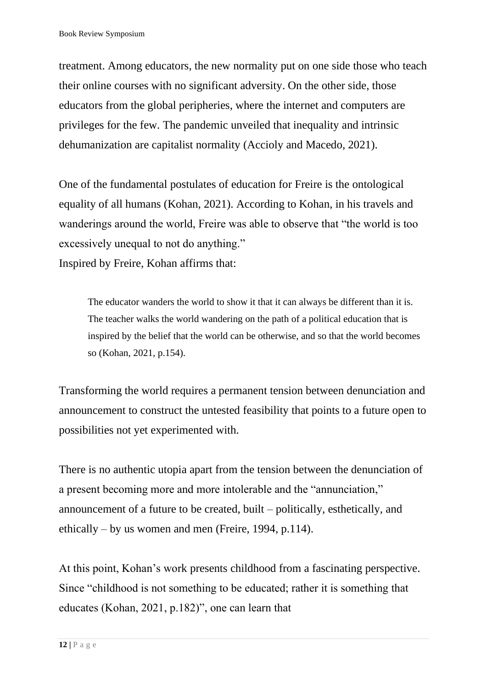treatment. Among educators, the new normality put on one side those who teach their online courses with no significant adversity. On the other side, those educators from the global peripheries, where the internet and computers are privileges for the few. The pandemic unveiled that inequality and intrinsic dehumanization are capitalist normality (Accioly and Macedo, 2021).

One of the fundamental postulates of education for Freire is the ontological equality of all humans (Kohan, 2021). According to Kohan, in his travels and wanderings around the world, Freire was able to observe that "the world is too excessively unequal to not do anything."

Inspired by Freire, Kohan affirms that:

The educator wanders the world to show it that it can always be different than it is. The teacher walks the world wandering on the path of a political education that is inspired by the belief that the world can be otherwise, and so that the world becomes so (Kohan, 2021, p.154).

Transforming the world requires a permanent tension between denunciation and announcement to construct the untested feasibility that points to a future open to possibilities not yet experimented with.

There is no authentic utopia apart from the tension between the denunciation of a present becoming more and more intolerable and the "annunciation," announcement of a future to be created, built – politically, esthetically, and ethically – by us women and men (Freire, 1994, p.114).

At this point, Kohan's work presents childhood from a fascinating perspective. Since "childhood is not something to be educated; rather it is something that educates (Kohan, 2021, p.182)", one can learn that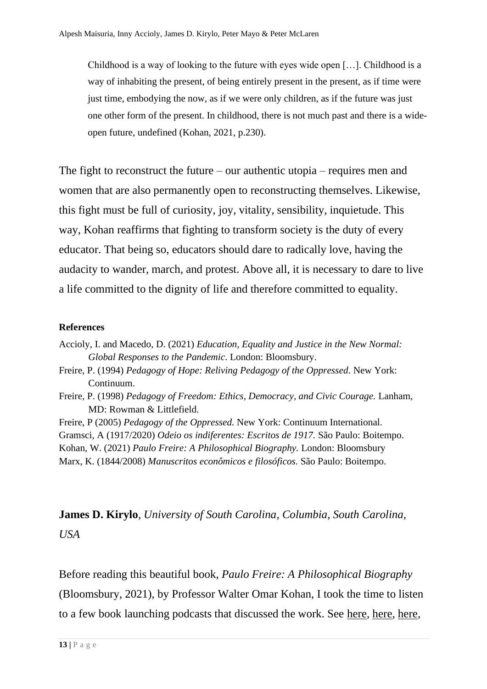Childhood is a way of looking to the future with eyes wide open […]. Childhood is a way of inhabiting the present, of being entirely present in the present, as if time were just time, embodying the now, as if we were only children, as if the future was just one other form of the present. In childhood, there is not much past and there is a wideopen future, undefined (Kohan, 2021, p.230).

The fight to reconstruct the future – our authentic utopia – requires men and women that are also permanently open to reconstructing themselves. Likewise, this fight must be full of curiosity, joy, vitality, sensibility, inquietude. This way, Kohan reaffirms that fighting to transform society is the duty of every educator. That being so, educators should dare to radically love, having the audacity to wander, march, and protest. Above all, it is necessary to dare to live a life committed to the dignity of life and therefore committed to equality.

#### **References**

Accioly, I. and Macedo, D. (2021) *Education, Equality and Justice in the New Normal: Global Responses to the Pandemic*. London: Bloomsbury.

- Freire, P. (1994) *Pedagogy of Hope: Reliving Pedagogy of the Oppressed*. New York: Continuum.
- Freire, P. (1998) *Pedagogy of Freedom: Ethics, Democracy, and Civic Courage.* Lanham, MD: Rowman & Littlefield.

Freire, P (2005) *Pedagogy of the Oppressed.* New York: Continuum International. Gramsci, A (1917/2020) *Odeio os indiferentes: Escritos de 1917.* São Paulo: Boitempo. Kohan, W. (2021) *Paulo Freire: A Philosophical Biography.* London: Bloomsbury Marx, K. (1844/2008) *Manuscritos econômicos e filosóficos.* São Paulo: Boitempo.

**James D. Kirylo**, *University of South Carolina, Columbia, South Carolina, USA*

Before reading this beautiful book, *Paulo Freire: A Philosophical Biography*  (Bloomsbury, 2021), by Professor Walter Omar Kohan, I took the time to listen to a few book launching podcasts that discussed the work. See [here,](https://www.youtube.com/watch?v=0vpLeen4TE4) [here,](https://www.youtube.com/watch?v=Lzf0zu0K8uc) [here,](https://www.youtube.com/watch?v=DSBSxnJzsBE)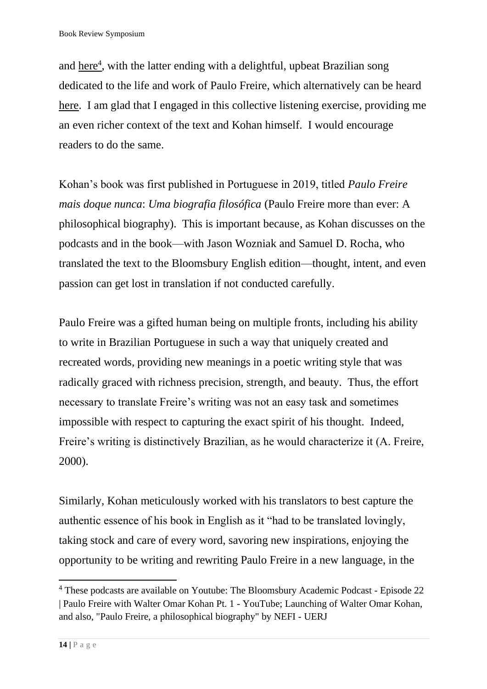and [here](https://www.youtube.com/watch?v=nY6PY_T9eS8)<sup>4</sup>, with the latter ending with a delightful, upbeat Brazilian song dedicated to the life and work of Paulo Freire, which alternatively can be heard [here.](https://www.youtube.com/watch?v=OGuhVWN6_Kk) I am glad that I engaged in this collective listening exercise, providing me an even richer context of the text and Kohan himself. I would encourage readers to do the same.

Kohan's book was first published in Portuguese in 2019, titled *Paulo Freire mais doque nunca*: *Uma biografia filosófica* (Paulo Freire more than ever: A philosophical biography). This is important because, as Kohan discusses on the podcasts and in the book—with Jason Wozniak and Samuel D. Rocha, who translated the text to the Bloomsbury English edition—thought, intent, and even passion can get lost in translation if not conducted carefully.

Paulo Freire was a gifted human being on multiple fronts, including his ability to write in Brazilian Portuguese in such a way that uniquely created and recreated words, providing new meanings in a poetic writing style that was radically graced with richness precision, strength, and beauty. Thus, the effort necessary to translate Freire's writing was not an easy task and sometimes impossible with respect to capturing the exact spirit of his thought. Indeed, Freire's writing is distinctively Brazilian, as he would characterize it (A. Freire, 2000).

Similarly, Kohan meticulously worked with his translators to best capture the authentic essence of his book in English as it "had to be translated lovingly, taking stock and care of every word, savoring new inspirations, enjoying the opportunity to be writing and rewriting Paulo Freire in a new language, in the

<sup>4</sup> These podcasts are available on Youtube: [The Bloomsbury Academic Podcast -](https://www.youtube.com/watch?app=desktop&v=0vpLeen4TE4) Episode 22 [| Paulo Freire with Walter Omar Kohan Pt. 1 -](https://www.youtube.com/watch?app=desktop&v=0vpLeen4TE4) YouTube; Launching of Walter Omar Kohan, and also, "Paulo Freire, a philosophical biography" by NEFI - UERJ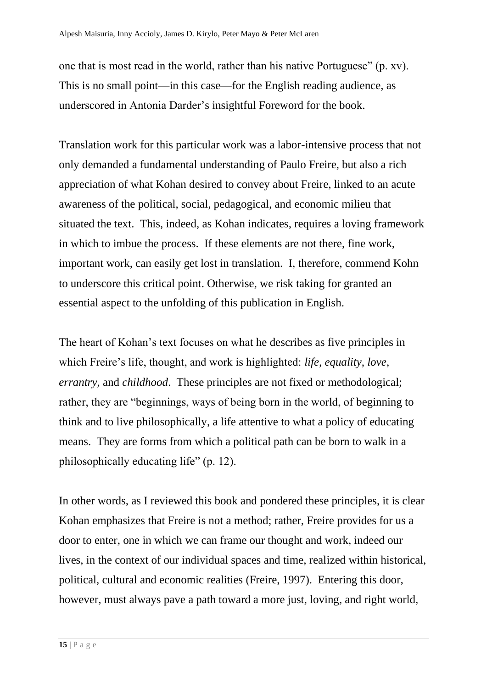one that is most read in the world, rather than his native Portuguese" (p. xv). This is no small point—in this case—for the English reading audience, as underscored in Antonia Darder's insightful Foreword for the book.

Translation work for this particular work was a labor-intensive process that not only demanded a fundamental understanding of Paulo Freire, but also a rich appreciation of what Kohan desired to convey about Freire, linked to an acute awareness of the political, social, pedagogical, and economic milieu that situated the text. This, indeed, as Kohan indicates, requires a loving framework in which to imbue the process. If these elements are not there, fine work, important work, can easily get lost in translation. I, therefore, commend Kohn to underscore this critical point. Otherwise, we risk taking for granted an essential aspect to the unfolding of this publication in English.

The heart of Kohan's text focuses on what he describes as five principles in which Freire's life, thought, and work is highlighted: *life*, *equality*, *love*, *errantry*, and *childhood*. These principles are not fixed or methodological; rather, they are "beginnings, ways of being born in the world, of beginning to think and to live philosophically, a life attentive to what a policy of educating means. They are forms from which a political path can be born to walk in a philosophically educating life" (p. 12).

In other words, as I reviewed this book and pondered these principles, it is clear Kohan emphasizes that Freire is not a method; rather, Freire provides for us a door to enter, one in which we can frame our thought and work, indeed our lives, in the context of our individual spaces and time, realized within historical, political, cultural and economic realities (Freire, 1997). Entering this door, however, must always pave a path toward a more just, loving, and right world,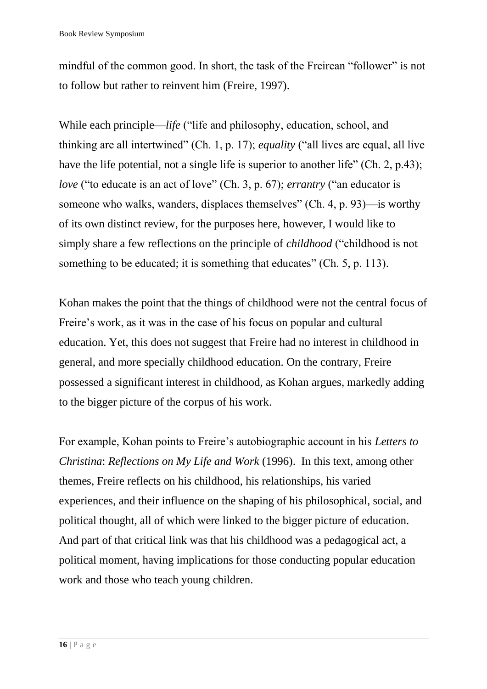mindful of the common good. In short, the task of the Freirean "follower" is not to follow but rather to reinvent him (Freire, 1997).

While each principle—*life* ("life and philosophy, education, school, and thinking are all intertwined" (Ch. 1, p. 17); *equality* ("all lives are equal, all live have the life potential, not a single life is superior to another life" (Ch. 2, p.43); *love* ("to educate is an act of love" (Ch. 3, p. 67); *errantry* ("an educator is someone who walks, wanders, displaces themselves" (Ch. 4, p. 93)—is worthy of its own distinct review, for the purposes here, however, I would like to simply share a few reflections on the principle of *childhood* ("childhood is not something to be educated; it is something that educates" (Ch. 5, p. 113).

Kohan makes the point that the things of childhood were not the central focus of Freire's work, as it was in the case of his focus on popular and cultural education. Yet, this does not suggest that Freire had no interest in childhood in general, and more specially childhood education. On the contrary, Freire possessed a significant interest in childhood, as Kohan argues, markedly adding to the bigger picture of the corpus of his work.

For example, Kohan points to Freire's autobiographic account in his *Letters to Christina*: *Reflections on My Life and Work* (1996). In this text, among other themes, Freire reflects on his childhood, his relationships, his varied experiences, and their influence on the shaping of his philosophical, social, and political thought, all of which were linked to the bigger picture of education. And part of that critical link was that his childhood was a pedagogical act, a political moment, having implications for those conducting popular education work and those who teach young children.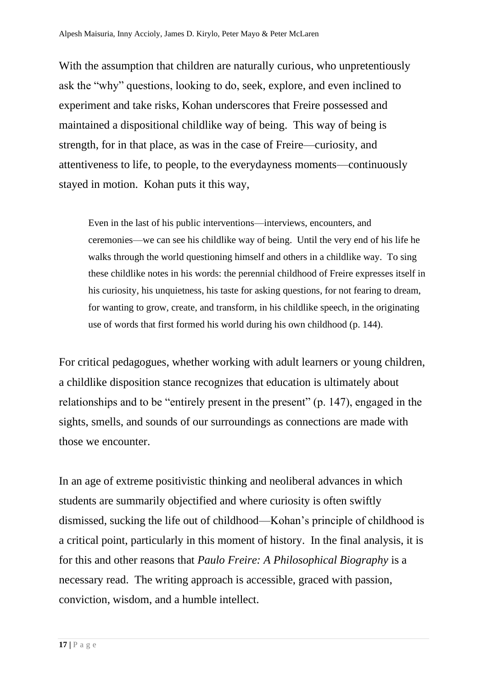With the assumption that children are naturally curious, who unpretentiously ask the "why" questions, looking to do, seek, explore, and even inclined to experiment and take risks, Kohan underscores that Freire possessed and maintained a dispositional childlike way of being. This way of being is strength, for in that place, as was in the case of Freire—curiosity, and attentiveness to life, to people, to the everydayness moments—continuously stayed in motion. Kohan puts it this way,

Even in the last of his public interventions—interviews, encounters, and ceremonies—we can see his childlike way of being. Until the very end of his life he walks through the world questioning himself and others in a childlike way. To sing these childlike notes in his words: the perennial childhood of Freire expresses itself in his curiosity, his unquietness, his taste for asking questions, for not fearing to dream, for wanting to grow, create, and transform, in his childlike speech, in the originating use of words that first formed his world during his own childhood (p. 144).

For critical pedagogues, whether working with adult learners or young children, a childlike disposition stance recognizes that education is ultimately about relationships and to be "entirely present in the present" (p. 147), engaged in the sights, smells, and sounds of our surroundings as connections are made with those we encounter.

In an age of extreme positivistic thinking and neoliberal advances in which students are summarily objectified and where curiosity is often swiftly dismissed, sucking the life out of childhood—Kohan's principle of childhood is a critical point, particularly in this moment of history. In the final analysis, it is for this and other reasons that *Paulo Freire: A Philosophical Biography* is a necessary read. The writing approach is accessible, graced with passion, conviction, wisdom, and a humble intellect.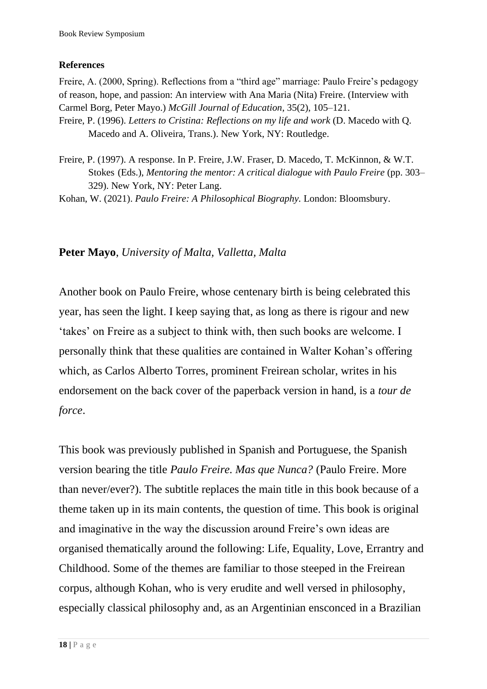## **References**

Freire, A. (2000, Spring). Reflections from a "third age" marriage: Paulo Freire's pedagogy of reason, hope, and passion: An interview with Ana Maria (Nita) Freire. (Interview with Carmel Borg, Peter Mayo.) *McGill Journal of Education*, 35(2), 105–121. Freire, P. (1996). *Letters to Cristina: Reflections on my life and work* (D. Macedo with Q. Macedo and A. Oliveira, Trans.). New York, NY: Routledge.

Freire, P. (1997). A response. In P. Freire, J.W. Fraser, D. Macedo, T. McKinnon, & W.T. Stokes (Eds.), *Mentoring the mentor: A critical dialogue with Paulo Freire* (pp. 303– 329). New York, NY: Peter Lang.

Kohan, W. (2021). *Paulo Freire: A Philosophical Biography.* London: Bloomsbury.

# **Peter Mayo**, *University of Malta, Valletta, Malta*

Another book on Paulo Freire, whose centenary birth is being celebrated this year, has seen the light. I keep saying that, as long as there is rigour and new 'takes' on Freire as a subject to think with, then such books are welcome. I personally think that these qualities are contained in Walter Kohan's offering which, as Carlos Alberto Torres, prominent Freirean scholar, writes in his endorsement on the back cover of the paperback version in hand, is a *tour de force*.

This book was previously published in Spanish and Portuguese, the Spanish version bearing the title *Paulo Freire. Mas que Nunca?* (Paulo Freire. More than never/ever?). The subtitle replaces the main title in this book because of a theme taken up in its main contents, the question of time. This book is original and imaginative in the way the discussion around Freire's own ideas are organised thematically around the following: Life, Equality, Love, Errantry and Childhood. Some of the themes are familiar to those steeped in the Freirean corpus, although Kohan, who is very erudite and well versed in philosophy, especially classical philosophy and, as an Argentinian ensconced in a Brazilian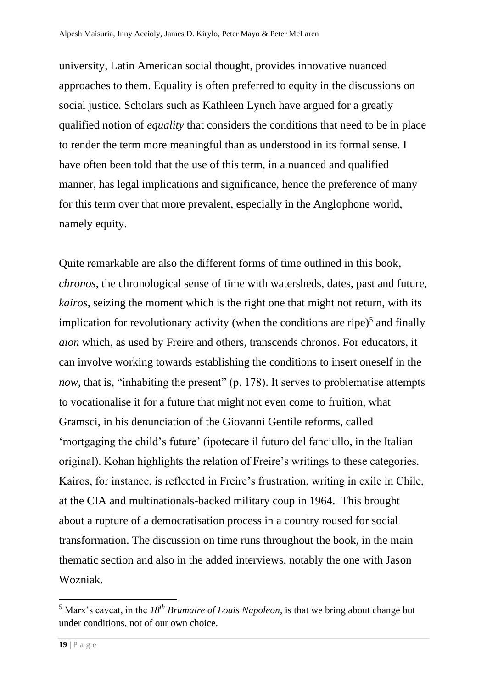university, Latin American social thought, provides innovative nuanced approaches to them. Equality is often preferred to equity in the discussions on social justice. Scholars such as Kathleen Lynch have argued for a greatly qualified notion of *equality* that considers the conditions that need to be in place to render the term more meaningful than as understood in its formal sense. I have often been told that the use of this term, in a nuanced and qualified manner, has legal implications and significance, hence the preference of many for this term over that more prevalent, especially in the Anglophone world, namely equity.

Quite remarkable are also the different forms of time outlined in this book, *chronos*, the chronological sense of time with watersheds, dates, past and future, *kairos*, seizing the moment which is the right one that might not return, with its implication for revolutionary activity (when the conditions are ripe) $<sup>5</sup>$  and finally</sup> *aion* which, as used by Freire and others, transcends chronos. For educators, it can involve working towards establishing the conditions to insert oneself in the *now*, that is, "inhabiting the present" (p. 178). It serves to problematise attempts to vocationalise it for a future that might not even come to fruition, what Gramsci, in his denunciation of the Giovanni Gentile reforms, called 'mortgaging the child's future' (ipotecare il futuro del fanciullo, in the Italian original). Kohan highlights the relation of Freire's writings to these categories. Kairos, for instance, is reflected in Freire's frustration, writing in exile in Chile, at the CIA and multinationals-backed military coup in 1964. This brought about a rupture of a democratisation process in a country roused for social transformation. The discussion on time runs throughout the book, in the main thematic section and also in the added interviews, notably the one with Jason Wozniak.

<sup>5</sup> Marx's caveat, in the *18th Brumaire of Louis Napoleon*, is that we bring about change but under conditions, not of our own choice.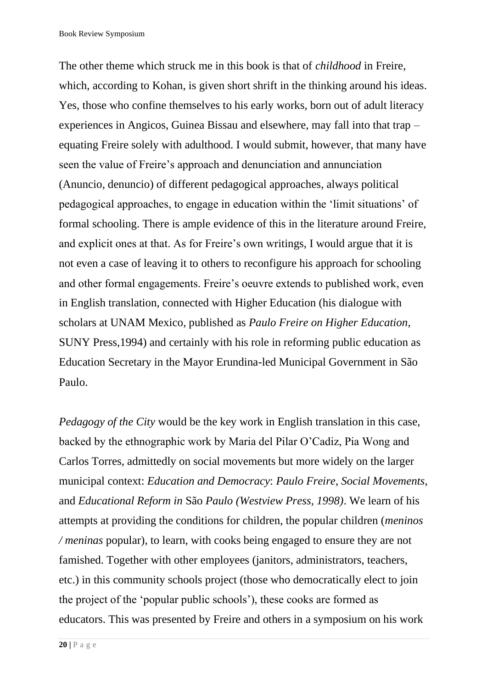The other theme which struck me in this book is that of *childhood* in Freire, which, according to Kohan, is given short shrift in the thinking around his ideas. Yes, those who confine themselves to his early works, born out of adult literacy experiences in Angicos, Guinea Bissau and elsewhere, may fall into that trap – equating Freire solely with adulthood. I would submit, however, that many have seen the value of Freire's approach and denunciation and annunciation (Anuncio, denuncio) of different pedagogical approaches, always political pedagogical approaches, to engage in education within the 'limit situations' of formal schooling. There is ample evidence of this in the literature around Freire, and explicit ones at that. As for Freire's own writings, I would argue that it is not even a case of leaving it to others to reconfigure his approach for schooling and other formal engagements. Freire's oeuvre extends to published work, even in English translation, connected with Higher Education (his dialogue with scholars at UNAM Mexico, published as *Paulo Freire on Higher Education*, SUNY Press,1994) and certainly with his role in reforming public education as Education Secretary in the Mayor Erundina-led Municipal Government in São Paulo.

*Pedagogy of the City* would be the key work in English translation in this case, backed by the ethnographic work by Maria del Pilar O'Cadiz, Pia Wong and Carlos Torres, admittedly on social movements but more widely on the larger municipal context: *Education and Democracy*: *Paulo Freire*, *Social Movements*, and *Educational Reform in* São *Paulo (Westview Press, 1998)*. We learn of his attempts at providing the conditions for children, the popular children (*meninos / meninas* popular), to learn, with cooks being engaged to ensure they are not famished. Together with other employees (janitors, administrators, teachers, etc.) in this community schools project (those who democratically elect to join the project of the 'popular public schools'), these cooks are formed as educators. This was presented by Freire and others in a symposium on his work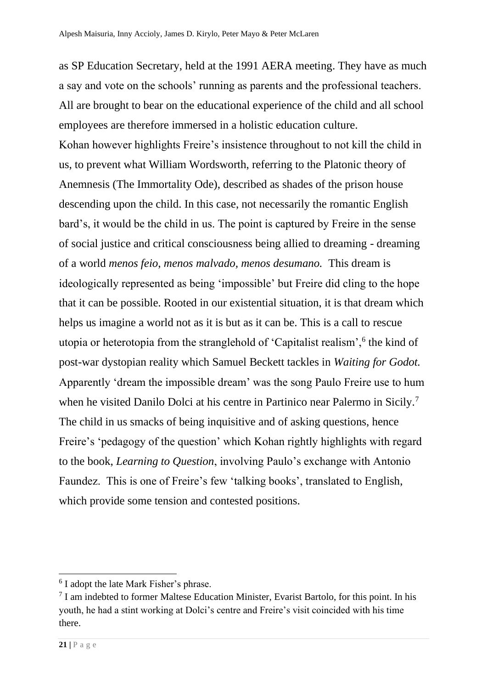as SP Education Secretary, held at the 1991 AERA meeting. They have as much a say and vote on the schools' running as parents and the professional teachers. All are brought to bear on the educational experience of the child and all school employees are therefore immersed in a holistic education culture. Kohan however highlights Freire's insistence throughout to not kill the child in us, to prevent what William Wordsworth, referring to the Platonic theory of Anemnesis (The Immortality Ode), described as shades of the prison house descending upon the child. In this case, not necessarily the romantic English bard's, it would be the child in us. The point is captured by Freire in the sense of social justice and critical consciousness being allied to dreaming - dreaming of a world *menos feio*, *menos malvado, menos desumano.* This dream is ideologically represented as being 'impossible' but Freire did cling to the hope that it can be possible. Rooted in our existential situation, it is that dream which helps us imagine a world not as it is but as it can be. This is a call to rescue utopia or heterotopia from the stranglehold of 'Capitalist realism',<sup>6</sup> the kind of post-war dystopian reality which Samuel Beckett tackles in *Waiting for Godot.*  Apparently 'dream the impossible dream' was the song Paulo Freire use to hum when he visited Danilo Dolci at his centre in Partinico near Palermo in Sicily.<sup>7</sup> The child in us smacks of being inquisitive and of asking questions, hence Freire's 'pedagogy of the question' which Kohan rightly highlights with regard to the book, *Learning to Question*, involving Paulo's exchange with Antonio Faundez. This is one of Freire's few 'talking books', translated to English, which provide some tension and contested positions.

<sup>&</sup>lt;sup>6</sup> I adopt the late Mark Fisher's phrase.

<sup>&</sup>lt;sup>7</sup> I am indebted to former Maltese Education Minister, Evarist Bartolo, for this point. In his youth, he had a stint working at Dolci's centre and Freire's visit coincided with his time there.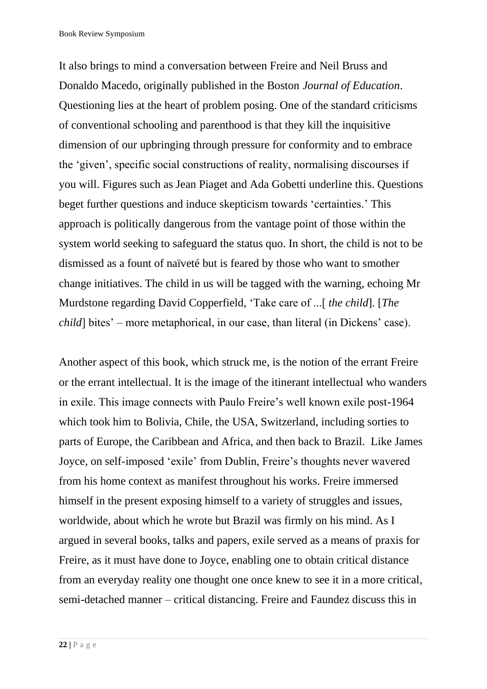It also brings to mind a conversation between Freire and Neil Bruss and Donaldo Macedo, originally published in the Boston *Journal of Education*. Questioning lies at the heart of problem posing. One of the standard criticisms of conventional schooling and parenthood is that they kill the inquisitive dimension of our upbringing through pressure for conformity and to embrace the 'given', specific social constructions of reality, normalising discourses if you will. Figures such as Jean Piaget and Ada Gobetti underline this. Questions beget further questions and induce skepticism towards 'certainties.' This approach is politically dangerous from the vantage point of those within the system world seeking to safeguard the status quo. In short, the child is not to be dismissed as a fount of naïveté but is feared by those who want to smother change initiatives. The child in us will be tagged with the warning, echoing Mr Murdstone regarding David Copperfield, 'Take care of ...[ *the child*]. [*The child*] bites' – more metaphorical, in our case, than literal (in Dickens' case).

Another aspect of this book, which struck me, is the notion of the errant Freire or the errant intellectual. It is the image of the itinerant intellectual who wanders in exile. This image connects with Paulo Freire's well known exile post-1964 which took him to Bolivia, Chile, the USA, Switzerland, including sorties to parts of Europe, the Caribbean and Africa, and then back to Brazil. Like James Joyce, on self-imposed 'exile' from Dublin, Freire's thoughts never wavered from his home context as manifest throughout his works. Freire immersed himself in the present exposing himself to a variety of struggles and issues, worldwide, about which he wrote but Brazil was firmly on his mind. As I argued in several books, talks and papers, exile served as a means of praxis for Freire, as it must have done to Joyce, enabling one to obtain critical distance from an everyday reality one thought one once knew to see it in a more critical, semi-detached manner – critical distancing. Freire and Faundez discuss this in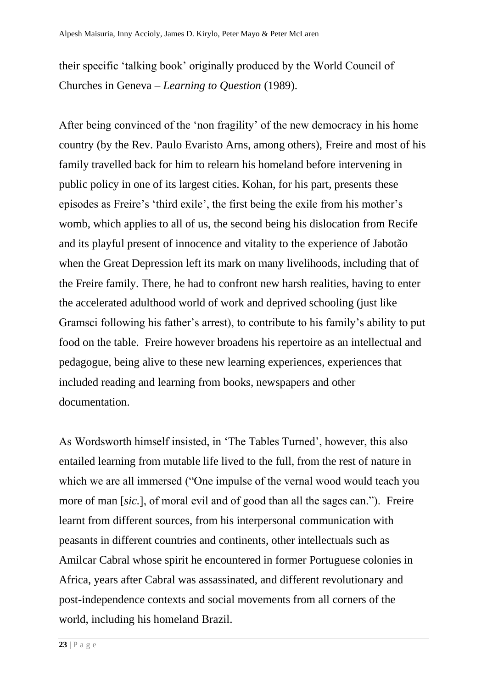their specific 'talking book' originally produced by the World Council of Churches in Geneva – *Learning to Question* (1989).

After being convinced of the 'non fragility' of the new democracy in his home country (by the Rev. Paulo Evaristo Arns, among others), Freire and most of his family travelled back for him to relearn his homeland before intervening in public policy in one of its largest cities. Kohan, for his part, presents these episodes as Freire's 'third exile', the first being the exile from his mother's womb, which applies to all of us, the second being his dislocation from Recife and its playful present of innocence and vitality to the experience of Jabotão when the Great Depression left its mark on many livelihoods, including that of the Freire family. There, he had to confront new harsh realities, having to enter the accelerated adulthood world of work and deprived schooling (just like Gramsci following his father's arrest), to contribute to his family's ability to put food on the table. Freire however broadens his repertoire as an intellectual and pedagogue, being alive to these new learning experiences, experiences that included reading and learning from books, newspapers and other documentation.

As Wordsworth himself insisted, in 'The Tables Turned', however, this also entailed learning from mutable life lived to the full, from the rest of nature in which we are all immersed ("One impulse of the vernal wood would teach you more of man [*sic.*], of moral evil and of good than all the sages can."). Freire learnt from different sources, from his interpersonal communication with peasants in different countries and continents, other intellectuals such as Amilcar Cabral whose spirit he encountered in former Portuguese colonies in Africa, years after Cabral was assassinated, and different revolutionary and post-independence contexts and social movements from all corners of the world, including his homeland Brazil.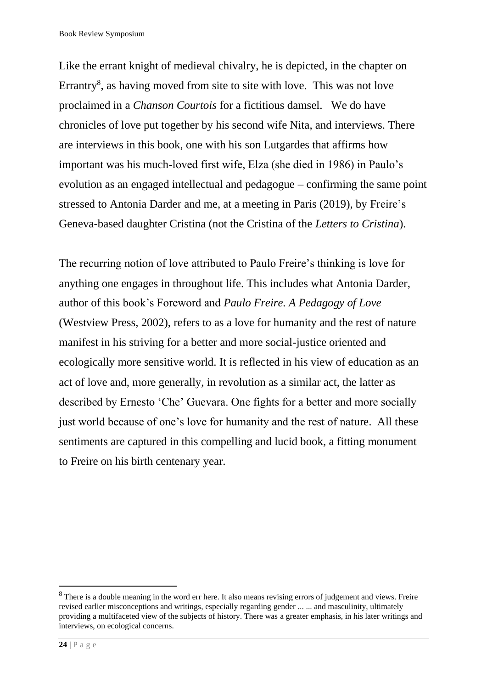Like the errant knight of medieval chivalry, he is depicted, in the chapter on Errantry<sup>8</sup>, as having moved from site to site with love. This was not love proclaimed in a *Chanson Courtois* for a fictitious damsel. We do have chronicles of love put together by his second wife Nita, and interviews. There are interviews in this book, one with his son Lutgardes that affirms how important was his much-loved first wife, Elza (she died in 1986) in Paulo's evolution as an engaged intellectual and pedagogue – confirming the same point stressed to Antonia Darder and me, at a meeting in Paris (2019), by Freire's Geneva-based daughter Cristina (not the Cristina of the *Letters to Cristina*).

The recurring notion of love attributed to Paulo Freire's thinking is love for anything one engages in throughout life. This includes what Antonia Darder, author of this book's Foreword and *Paulo Freire. A Pedagogy of Love* (Westview Press, 2002), refers to as a love for humanity and the rest of nature manifest in his striving for a better and more social-justice oriented and ecologically more sensitive world. It is reflected in his view of education as an act of love and, more generally, in revolution as a similar act, the latter as described by Ernesto 'Che' Guevara. One fights for a better and more socially just world because of one's love for humanity and the rest of nature. All these sentiments are captured in this compelling and lucid book, a fitting monument to Freire on his birth centenary year.

<sup>&</sup>lt;sup>8</sup> There is a double meaning in the word err here. It also means revising errors of judgement and views. Freire revised earlier misconceptions and writings, especially regarding gender ... ... and masculinity, ultimately providing a multifaceted view of the subjects of history. There was a greater emphasis, in his later writings and interviews, on ecological concerns.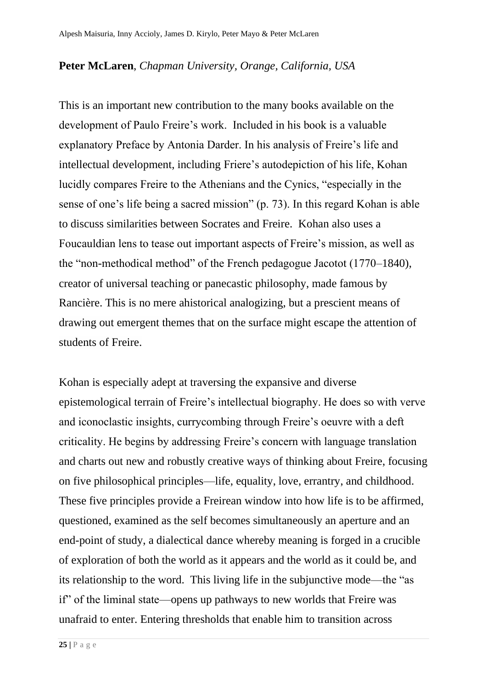## **Peter McLaren**, *Chapman University, Orange, California, USA*

This is an important new contribution to the many books available on the development of Paulo Freire's work. Included in his book is a valuable explanatory Preface by Antonia Darder. In his analysis of Freire's life and intellectual development, including Friere's autodepiction of his life, Kohan lucidly compares Freire to the Athenians and the Cynics, "especially in the sense of one's life being a sacred mission" (p. 73). In this regard Kohan is able to discuss similarities between Socrates and Freire. Kohan also uses a Foucauldian lens to tease out important aspects of Freire's mission, as well as the "non-methodical method" of the French pedagogue Jacotot (1770–1840), creator of universal teaching or panecastic philosophy, made famous by Rancière. This is no mere ahistorical analogizing, but a prescient means of drawing out emergent themes that on the surface might escape the attention of students of Freire.

Kohan is especially adept at traversing the expansive and diverse epistemological terrain of Freire's intellectual biography. He does so with verve and iconoclastic insights, currycombing through Freire's oeuvre with a deft criticality. He begins by addressing Freire's concern with language translation and charts out new and robustly creative ways of thinking about Freire, focusing on five philosophical principles—life, equality, love, errantry, and childhood. These five principles provide a Freirean window into how life is to be affirmed, questioned, examined as the self becomes simultaneously an aperture and an end-point of study, a dialectical dance whereby meaning is forged in a crucible of exploration of both the world as it appears and the world as it could be, and its relationship to the word. This living life in the subjunctive mode—the "as if" of the liminal state—opens up pathways to new worlds that Freire was unafraid to enter. Entering thresholds that enable him to transition across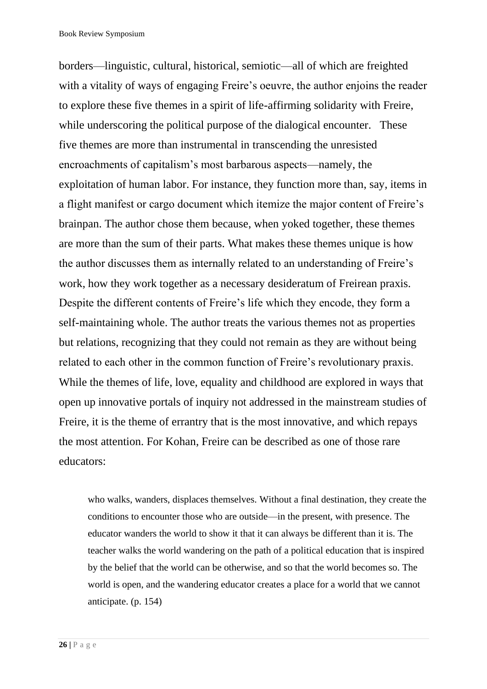borders—linguistic, cultural, historical, semiotic—all of which are freighted with a vitality of ways of engaging Freire's oeuvre, the author enjoins the reader to explore these five themes in a spirit of life-affirming solidarity with Freire, while underscoring the political purpose of the dialogical encounter. These five themes are more than instrumental in transcending the unresisted encroachments of capitalism's most barbarous aspects—namely, the exploitation of human labor. For instance, they function more than, say, items in a flight manifest or cargo document which itemize the major content of Freire's brainpan. The author chose them because, when yoked together, these themes are more than the sum of their parts. What makes these themes unique is how the author discusses them as internally related to an understanding of Freire's work, how they work together as a necessary desideratum of Freirean praxis. Despite the different contents of Freire's life which they encode, they form a self-maintaining whole. The author treats the various themes not as properties but relations, recognizing that they could not remain as they are without being related to each other in the common function of Freire's revolutionary praxis. While the themes of life, love, equality and childhood are explored in ways that open up innovative portals of inquiry not addressed in the mainstream studies of Freire, it is the theme of errantry that is the most innovative, and which repays the most attention. For Kohan, Freire can be described as one of those rare educators:

who walks, wanders, displaces themselves. Without a final destination, they create the conditions to encounter those who are outside—in the present, with presence. The educator wanders the world to show it that it can always be different than it is. The teacher walks the world wandering on the path of a political education that is inspired by the belief that the world can be otherwise, and so that the world becomes so. The world is open, and the wandering educator creates a place for a world that we cannot anticipate. (p. 154)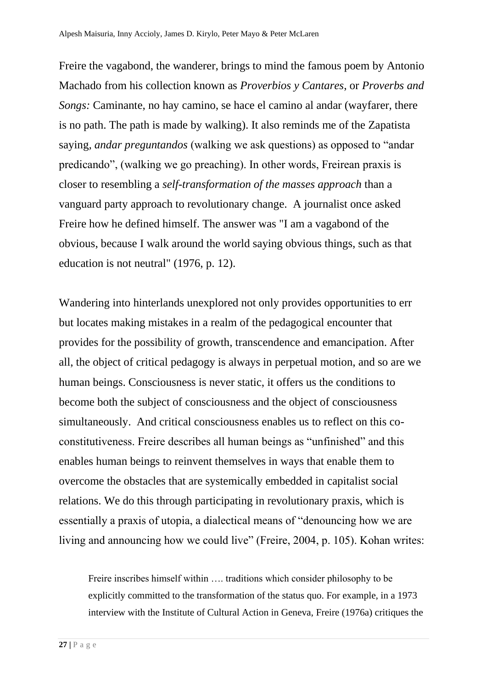Freire the vagabond, the wanderer, brings to mind the famous poem by Antonio Machado from his collection known as *Proverbios y Cantares*, or *Proverbs and Songs:* Caminante, no hay camino, se hace el camino al andar (wayfarer, there is no path. The path is made by walking). It also reminds me of the Zapatista saying*, andar preguntandos* (walking we ask questions) as opposed to "andar predicando", (walking we go preaching). In other words, Freirean praxis is closer to resembling a *self-transformation of the masses approach* than a vanguard party approach to revolutionary change. A journalist once asked Freire how he defined himself. The answer was "I am a vagabond of the obvious, because I walk around the world saying obvious things, such as that education is not neutral" (1976, p. 12).

Wandering into hinterlands unexplored not only provides opportunities to err but locates making mistakes in a realm of the pedagogical encounter that provides for the possibility of growth, transcendence and emancipation. After all, the object of critical pedagogy is always in perpetual motion, and so are we human beings. Consciousness is never static, it offers us the conditions to become both the subject of consciousness and the object of consciousness simultaneously. And critical consciousness enables us to reflect on this coconstitutiveness. Freire describes all human beings as "unfinished" and this enables human beings to reinvent themselves in ways that enable them to overcome the obstacles that are systemically embedded in capitalist social relations. We do this through participating in revolutionary praxis, which is essentially a praxis of utopia, a dialectical means of "denouncing how we are living and announcing how we could live" (Freire, 2004, p. 105). Kohan writes:

Freire inscribes himself within …. traditions which consider philosophy to be explicitly committed to the transformation of the status quo. For example, in a 1973 interview with the Institute of Cultural Action in Geneva, Freire (1976a) critiques the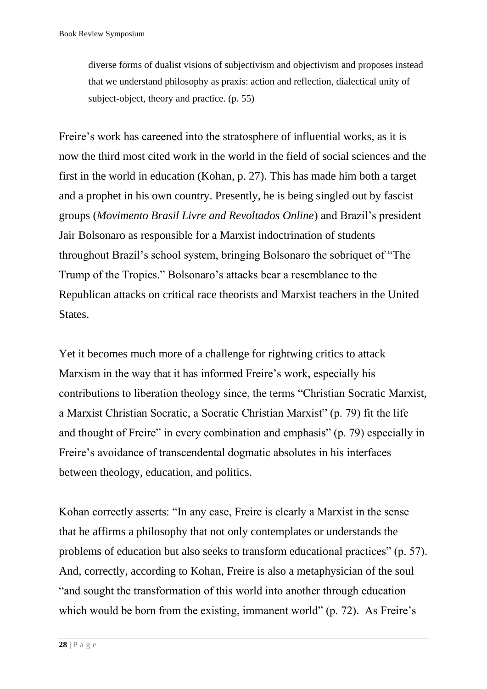diverse forms of dualist visions of subjectivism and objectivism and proposes instead that we understand philosophy as praxis: action and reflection, dialectical unity of subject-object, theory and practice. (p. 55)

Freire's work has careened into the stratosphere of influential works, as it is now the third most cited work in the world in the field of social sciences and the first in the world in education (Kohan, p. 27). This has made him both a target and a prophet in his own country. Presently, he is being singled out by fascist groups (*Movimento Brasil Livre and Revoltados Online*) and Brazil's president Jair Bolsonaro as responsible for a Marxist indoctrination of students throughout Brazil's school system, bringing Bolsonaro the sobriquet of "The Trump of the Tropics." Bolsonaro's attacks bear a resemblance to the Republican attacks on critical race theorists and Marxist teachers in the United States.

Yet it becomes much more of a challenge for rightwing critics to attack Marxism in the way that it has informed Freire's work, especially his contributions to liberation theology since, the terms "Christian Socratic Marxist, a Marxist Christian Socratic, a Socratic Christian Marxist" (p. 79) fit the life and thought of Freire" in every combination and emphasis" (p. 79) especially in Freire's avoidance of transcendental dogmatic absolutes in his interfaces between theology, education, and politics.

Kohan correctly asserts: "In any case, Freire is clearly a Marxist in the sense that he affirms a philosophy that not only contemplates or understands the problems of education but also seeks to transform educational practices" (p. 57). And, correctly, according to Kohan, Freire is also a metaphysician of the soul "and sought the transformation of this world into another through education which would be born from the existing, immanent world" (p. 72). As Freire's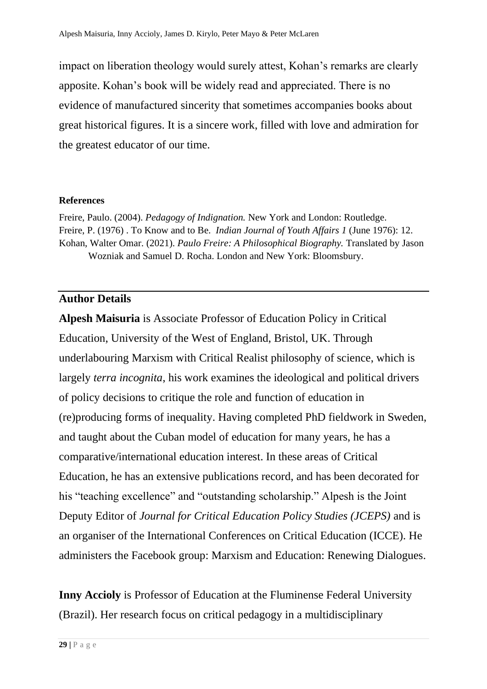impact on liberation theology would surely attest, Kohan's remarks are clearly apposite. Kohan's book will be widely read and appreciated. There is no evidence of manufactured sincerity that sometimes accompanies books about great historical figures. It is a sincere work, filled with love and admiration for the greatest educator of our time.

#### **References**

Freire, Paulo. (2004). *Pedagogy of Indignation.* New York and London: Routledge. Freire, P. (1976) . To Know and to Be. *Indian Journal of Youth Affairs 1* (June 1976): 12. Kohan, Walter Omar. (2021). *Paulo Freire: A Philosophical Biography.* Translated by Jason Wozniak and Samuel D. Rocha. London and New York: Bloomsbury.

## **Author Details**

**Alpesh Maisuria** is Associate Professor of Education Policy in Critical Education, University of the West of England, Bristol, UK. Through underlabouring Marxism with Critical Realist philosophy of science, which is largely *terra incognita*, his work examines the ideological and political drivers of policy decisions to critique the role and function of education in (re)producing forms of inequality. Having completed PhD fieldwork in Sweden, and taught about the Cuban model of education for many years, he has a comparative/international education interest. In these areas of Critical Education, he has an extensive publications record, and has been decorated for his "teaching excellence" and "outstanding scholarship." Alpesh is the Joint Deputy Editor of *Journal for Critical Education Policy Studies (JCEPS)* and is an organiser of the International Conferences on Critical Education (ICCE). He administers the Facebook group: Marxism and Education: Renewing Dialogues.

**Inny Accioly** is Professor of Education at the Fluminense Federal University (Brazil). Her research focus on critical pedagogy in a multidisciplinary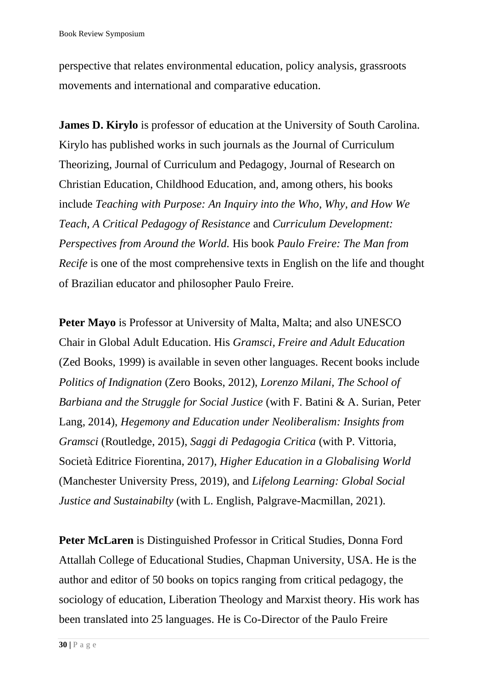perspective that relates environmental education, policy analysis, grassroots movements and international and comparative education.

**James D. Kirylo** is professor of education at the University of South Carolina. Kirylo has published works in such journals as the Journal of Curriculum Theorizing, Journal of Curriculum and Pedagogy, Journal of Research on Christian Education, Childhood Education, and, among others, his books include *Teaching with Purpose: An Inquiry into the Who, Why, and How We Teach*, *A Critical Pedagogy of Resistance* and *Curriculum Development: Perspectives from Around the World.* His book *Paulo Freire: The Man from Recife* is one of the most comprehensive texts in English on the life and thought of Brazilian educator and philosopher Paulo Freire.

**Peter Mayo** is Professor at University of Malta, Malta; and also UNESCO Chair in Global Adult Education. His *Gramsci, Freire and Adult Education* (Zed Books, 1999) is available in seven other languages. Recent books include *Politics of Indignation* (Zero Books, 2012), *Lorenzo Milani, The School of Barbiana and the Struggle for Social Justice* (with F. Batini & A. Surian, Peter Lang, 2014), *Hegemony and Education under Neoliberalism: Insights from Gramsci* (Routledge, 2015), *Saggi di Pedagogia Critica* (with P. Vittoria, Società Editrice Fiorentina, 2017), *Higher Education in a Globalising World*  (Manchester University Press, 2019), and *Lifelong Learning: Global Social Justice and Sustainabilty* (with L. English, Palgrave-Macmillan, 2021).

**Peter McLaren** is Distinguished Professor in Critical Studies, Donna Ford Attallah College of Educational Studies, Chapman University, USA. He is the author and editor of 50 books on topics ranging from critical pedagogy, the sociology of education, Liberation Theology and Marxist theory. His work has been translated into 25 languages. He is Co-Director of the Paulo Freire